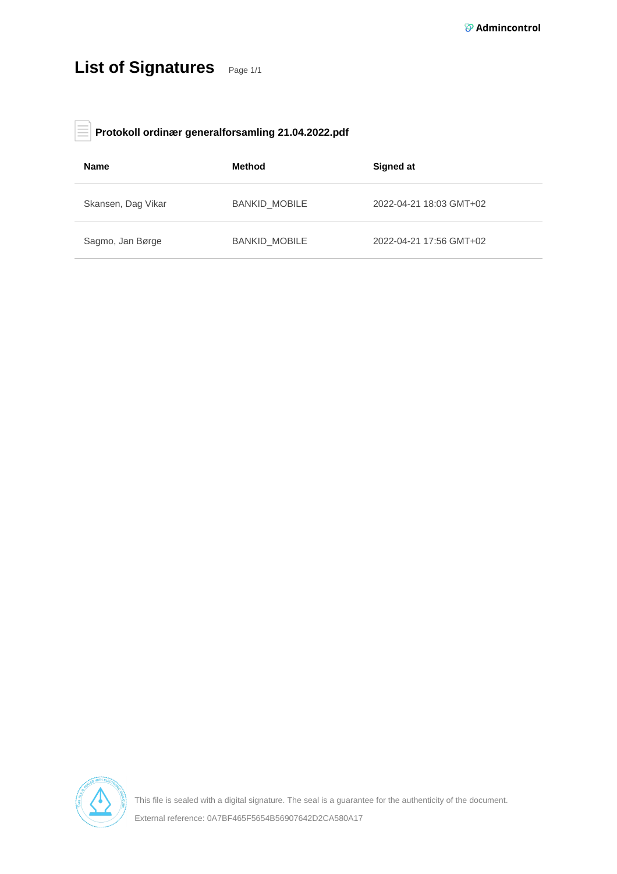# List of Signatures Page 1/1

#### **Protokoll ordinær generalforsamling 21.04.2022.pdf** E

| <b>Name</b>        | Method               | Signed at               |
|--------------------|----------------------|-------------------------|
| Skansen, Dag Vikar | <b>BANKID MOBILE</b> | 2022-04-21 18:03 GMT+02 |
| Sagmo, Jan Børge   | <b>BANKID MOBILE</b> | 2022-04-21 17:56 GMT+02 |



This file is sealed with a digital signature. The seal is a guarantee for the authenticity of the document. External reference: 0A7BF465F5654B56907642D2CA580A17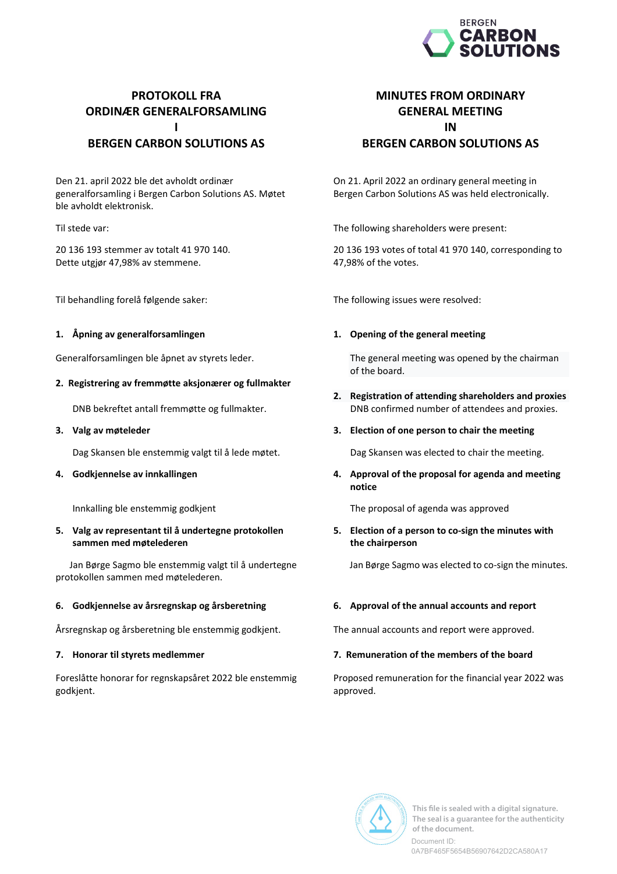

## **PROTOKOLL FRA ORDINÆR GENERALFORSAMLING** П **BERGEN CARBON SOLUTIONS AS**

Den 21. april 2022 ble det avholdt ordinær generalforsamling i Bergen Carbon Solutions AS. Møtet ble avholdt elektronisk.

Til stede var:

20 136 193 stemmer av totalt 41 970 140. Dette utgjør 47,98% av stemmene.

Til behandling forelå følgende saker:

### 1. Åpning av generalforsamlingen

Generalforsamlingen ble åpnet av styrets leder.

### 2. Registrering av fremmøtte aksjonærer og fullmakter

DNB bekreftet antall fremmøtte og fullmakter.

### 3. Valg av møteleder

Dag Skansen ble enstemmig valgt til å lede møtet.

### 4. Godkjennelse av innkallingen

Innkalling ble enstemmig godkjent

### 5. Valg av representant til å undertegne protokollen sammen med møtelederen

Jan Børge Sagmo ble enstemmig valgt til å undertegne protokollen sammen med møtelederen.

### 6. Godkjennelse av årsregnskap og årsberetning

Årsregnskap og årsberetning ble enstemmig godkjent.

### 7. Honorar til styrets medlemmer

Foreslåtte honorar for regnskapsåret 2022 ble enstemmig godkjent.

### **MINUTES FROM ORDINARY GENERAL MEETING** IN **BERGEN CARBON SOLUTIONS AS**

On 21. April 2022 an ordinary general meeting in Bergen Carbon Solutions AS was held electronically.

The following shareholders were present:

20 136 193 votes of total 41 970 140, corresponding to 47,98% of the votes.

The following issues were resolved:

### 1. Opening of the general meeting

The general meeting was opened by the chairman of the board.

2. Registration of attending shareholders and proxies DNB confirmed number of attendees and proxies.

### 3. Election of one person to chair the meeting

Dag Skansen was elected to chair the meeting.

4. Approval of the proposal for agenda and meeting notice

The proposal of agenda was approved

5. Election of a person to co-sign the minutes with the chairperson

Jan Børge Sagmo was elected to co-sign the minutes.

### 6. Approval of the annual accounts and report

The annual accounts and report were approved.

### 7. Remuneration of the members of the board

Proposed remuneration for the financial year 2022 was approved.

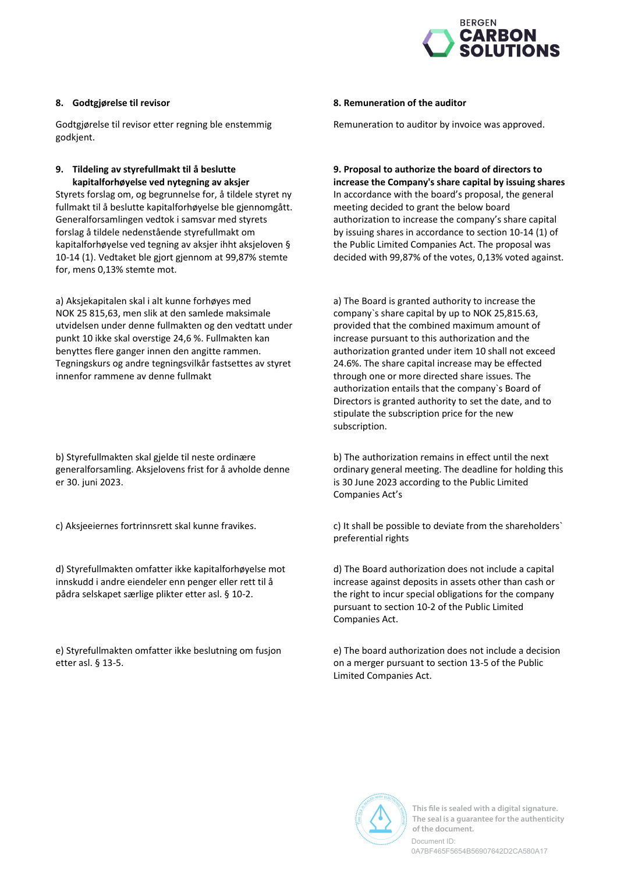

### 8. Godtgjørelse til revisor

Godtgjørelse til revisor etter regning ble enstemmig godkjent.

### 9. Tildeling av styrefullmakt til å beslutte kapitalforhøyelse ved nytegning av aksjer

Styrets forslag om, og begrunnelse for, å tildele styret ny fullmakt til å beslutte kapitalforhøvelse ble gjennomgått. Generalforsamlingen vedtok i samsvar med styrets forslag å tildele nedenstående styrefullmakt om kapitalforhøyelse ved tegning av aksjer ihht aksjeloven § 10-14 (1). Vedtaket ble gjort gjennom at 99,87% stemte for, mens 0,13% stemte mot.

a) Aksjekapitalen skal i alt kunne forhøyes med NOK 25 815,63, men slik at den samlede maksimale utvidelsen under denne fullmakten og den vedtatt under punkt 10 ikke skal overstige 24,6 %. Fullmakten kan benyttes flere ganger innen den angitte rammen. Tegningskurs og andre tegningsvilkår fastsettes av styret innenfor rammene av denne fullmakt

b) Styrefullmakten skal gjelde til neste ordinære generalforsamling. Aksjelovens frist for å avholde denne er 30. juni 2023.

c) Aksjeeiernes fortrinnsrett skal kunne fravikes.

d) Styrefullmakten omfatter ikke kapitalforhøyelse mot innskudd i andre eiendeler enn penger eller rett til å pådra selskapet særlige plikter etter asl. § 10-2.

e) Styrefullmakten omfatter ikke beslutning om fusjon etter asl. § 13-5.

### 8. Remuneration of the auditor

Remuneration to auditor by invoice was approved.

9. Proposal to authorize the board of directors to increase the Company's share capital by issuing shares In accordance with the board's proposal, the general meeting decided to grant the below board authorization to increase the company's share capital by issuing shares in accordance to section 10-14 (1) of the Public Limited Companies Act. The proposal was decided with 99,87% of the votes, 0,13% voted against.

a) The Board is granted authority to increase the company's share capital by up to NOK 25,815.63, provided that the combined maximum amount of increase pursuant to this authorization and the authorization granted under item 10 shall not exceed 24.6%. The share capital increase may be effected through one or more directed share issues. The authorization entails that the company's Board of Directors is granted authority to set the date, and to stipulate the subscription price for the new subscription.

b) The authorization remains in effect until the next ordinary general meeting. The deadline for holding this is 30 June 2023 according to the Public Limited Companies Act's

c) It shall be possible to deviate from the shareholders' preferential rights

d) The Board authorization does not include a capital increase against deposits in assets other than cash or the right to incur special obligations for the company pursuant to section 10-2 of the Public Limited Companies Act.

e) The board authorization does not include a decision on a merger pursuant to section 13-5 of the Public Limited Companies Act.



This file is sealed with a digital signature. The seal is a guarantee for the authenticity of the document

Document ID: 0A7BF465F5654B56907642D2CA580A17